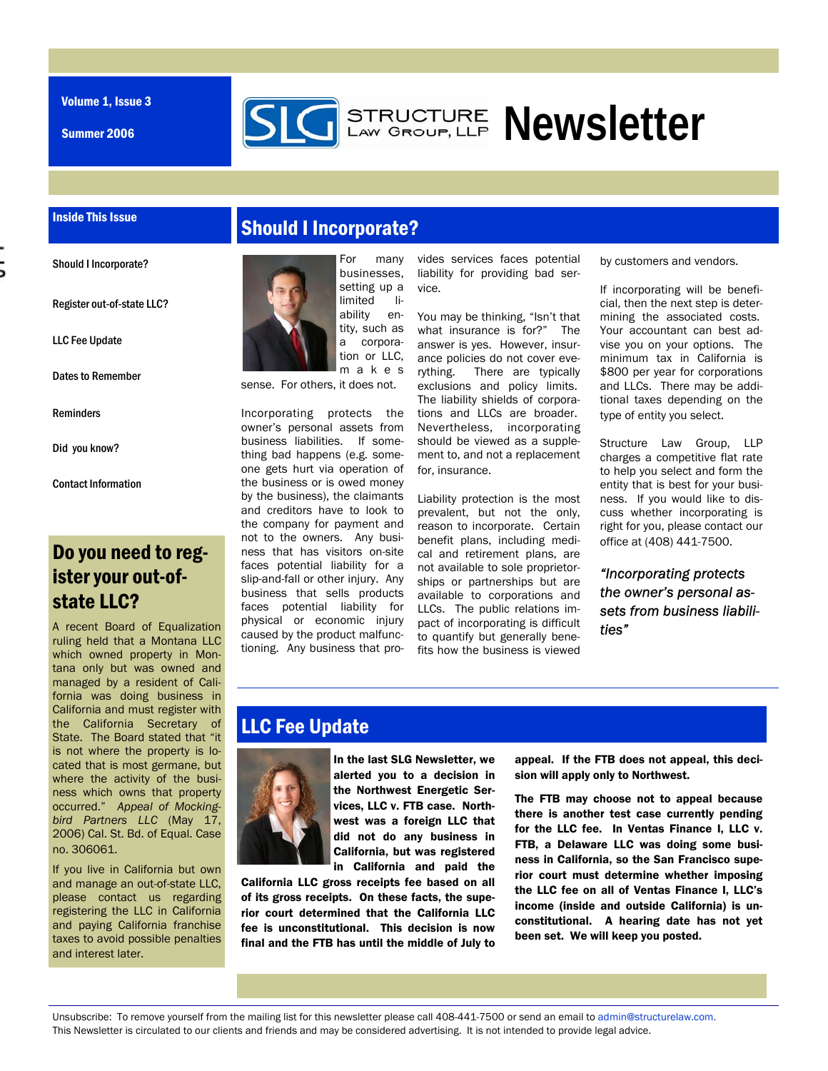Volume 1, Issue 3

Summer 2006



#### Inside This Issue

Should I Incorporate?

Register out-of-state LLC?

LLC Fee Update

Dates to Remember

Reminders

Did you know?

Contact Information

# Do you need to register your out-ofstate LLC?

A recent Board of Equalization ruling held that a Montana LLC which owned property in Montana only but was owned and managed by a resident of California was doing business in California and must register with the California Secretary of State. The Board stated that "it is not where the property is located that is most germane, but where the activity of the business which owns that property occurred." *Appeal of Mockingbird Partners LLC* (May 17, 2006) Cal. St. Bd. of Equal. Case no. 306061.

If you live in California but own and manage an out-of-state LLC, please contact us regarding registering the LLC in California and paying California franchise taxes to avoid possible penalties and interest later.

### Should I Incorporate?



sense. For others, it does not.

Incorporating protects the owner's personal assets from business liabilities. If something bad happens (e.g. someone gets hurt via operation of the business or is owed money by the business), the claimants and creditors have to look to the company for payment and not to the owners. Any business that has visitors on-site faces potential liability for a slip-and-fall or other injury. Any business that sells products faces potential liability for physical or economic injury caused by the product malfunctioning. Any business that pro-

vides services faces potential liability for providing bad service.

You may be thinking, "Isn't that what insurance is for?" The answer is yes. However, insurance policies do not cover everything. There are typically exclusions and policy limits. The liability shields of corporations and LLCs are broader. Nevertheless, incorporating should be viewed as a supplement to, and not a replacement for, insurance.

Liability protection is the most prevalent, but not the only, reason to incorporate. Certain benefit plans, including medical and retirement plans, are not available to sole proprietorships or partnerships but are available to corporations and LLCs. The public relations impact of incorporating is difficult to quantify but generally benefits how the business is viewed

by customers and vendors.

If incorporating will be beneficial, then the next step is determining the associated costs. Your accountant can best advise you on your options. The minimum tax in California is \$800 per year for corporations and LLCs. There may be additional taxes depending on the type of entity you select.

Structure Law Group, LLP charges a competitive flat rate to help you select and form the entity that is best for your business. If you would like to discuss whether incorporating is right for you, please contact our office at (408) 441-7500.

*"Incorporating protects the owner's personal assets from business liabilities"* 

# LLC Fee Update



In the last SLG Newsletter, we alerted you to a decision in the Northwest Energetic Services, LLC v. FTB case. Northwest was a foreign LLC that did not do any business in California, but was registered in California and paid the

California LLC gross receipts fee based on all of its gross receipts. On these facts, the superior court determined that the California LLC fee is unconstitutional. This decision is now final and the FTB has until the middle of July to

appeal. If the FTB does not appeal, this decision will apply only to Northwest.

The FTB may choose not to appeal because there is another test case currently pending for the LLC fee. In Ventas Finance I, LLC v. FTB, a Delaware LLC was doing some business in California, so the San Francisco superior court must determine whether imposing the LLC fee on all of Ventas Finance I, LLC's income (inside and outside California) is unconstitutional. A hearing date has not yet been set. We will keep you posted.

Unsubscribe: To remove yourself from the mailing list for this newsletter please call 408-441-7500 or send an email to admin@structurelaw.com. This Newsletter is circulated to our clients and friends and may be considered advertising. It is not intended to provide legal advice.